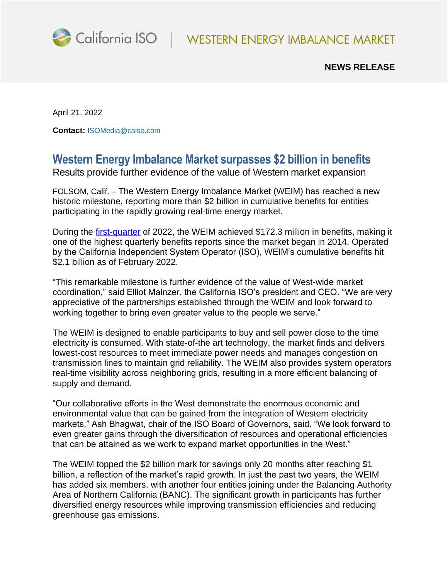

## **NEWS RELEASE**

April 21, 2022

**Contact:** [ISOMedia@caiso.com](mailto:ISOMedia@caiso.com)

## **Western Energy Imbalance Market surpasses \$2 billion in benefits**

Results provide further evidence of the value of Western market expansion

FOLSOM, Calif. – The Western Energy Imbalance Market (WEIM) has reached a new historic milestone, reporting more than \$2 billion in cumulative benefits for entities participating in the rapidly growing real-time energy market.

During the [first-quarter](https://www.westerneim.com/Documents/ISO-Western-Energy-Imbalance-Market-Benefits-Report-Q1-2022.pdf) of 2022, the WEIM achieved \$172.3 million in benefits, making it one of the highest quarterly benefits reports since the market began in 2014. Operated by the California Independent System Operator (ISO), WEIM's cumulative benefits hit \$2.1 billion as of February 2022.

"This remarkable milestone is further evidence of the value of West-wide market coordination," said Elliot Mainzer, the California ISO's president and CEO. "We are very appreciative of the partnerships established through the WEIM and look forward to working together to bring even greater value to the people we serve."

The WEIM is designed to enable participants to buy and sell power close to the time electricity is consumed. With state-of-the art technology, the market finds and delivers lowest-cost resources to meet immediate power needs and manages congestion on transmission lines to maintain grid reliability. The WEIM also provides system operators real-time visibility across neighboring grids, resulting in a more efficient balancing of supply and demand.

"Our collaborative efforts in the West demonstrate the enormous economic and environmental value that can be gained from the integration of Western electricity markets," Ash Bhagwat, chair of the ISO Board of Governors, said. "We look forward to even greater gains through the diversification of resources and operational efficiencies that can be attained as we work to expand market opportunities in the West."

The WEIM topped the \$2 billion mark for savings only 20 months after reaching \$1 billion, a reflection of the market's rapid growth. In just the past two years, the WEIM has added six members, with another four entities joining under the Balancing Authority Area of Northern California (BANC). The significant growth in participants has further diversified energy resources while improving transmission efficiencies and reducing greenhouse gas emissions.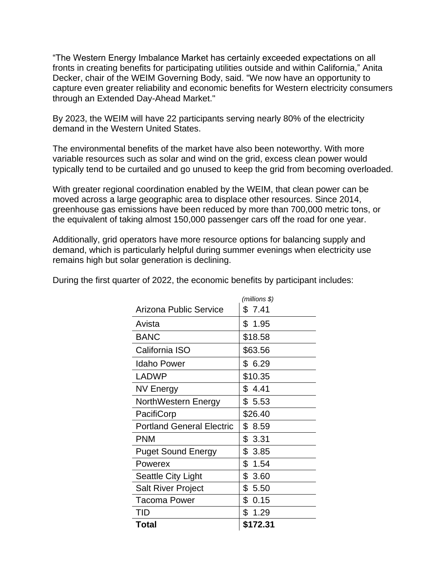"The Western Energy Imbalance Market has certainly exceeded expectations on all fronts in creating benefits for participating utilities outside and within California," Anita Decker, chair of the WEIM Governing Body, said. "We now have an opportunity to capture even greater reliability and economic benefits for Western electricity consumers through an Extended Day-Ahead Market."

By 2023, the WEIM will have 22 participants serving nearly 80% of the electricity demand in the Western United States.

The environmental benefits of the market have also been noteworthy. With more variable resources such as solar and wind on the grid, excess clean power would typically tend to be curtailed and go unused to keep the grid from becoming overloaded.

With greater regional coordination enabled by the WEIM, that clean power can be moved across a large geographic area to displace other resources. Since 2014, greenhouse gas emissions have been reduced by more than 700,000 metric tons, or the equivalent of taking almost 150,000 passenger cars off the road for one year.

Additionally, grid operators have more resource options for balancing supply and demand, which is particularly helpful during summer evenings when electricity use remains high but solar generation is declining.

|                                  | (millions \$) |
|----------------------------------|---------------|
| <b>Arizona Public Service</b>    | \$7.41        |
| Avista                           | \$1.95        |
| <b>BANC</b>                      | \$18.58       |
| California ISO                   | \$63.56       |
| <b>Idaho Power</b>               | \$ 6.29       |
| <b>LADWP</b>                     | \$10.35       |
| NV Energy                        | \$4.41        |
| NorthWestern Energy              | \$5.53        |
| PacifiCorp                       | \$26.40       |
| <b>Portland General Electric</b> | \$8.59        |
| <b>PNM</b>                       | \$3.31        |
| <b>Puget Sound Energy</b>        | \$3.85        |
| Powerex                          | \$1.54        |
| Seattle City Light               | \$3.60        |
| <b>Salt River Project</b>        | \$5.50        |
| <b>Tacoma Power</b>              | \$0.15        |
| TID                              | \$1.29        |
| Total                            | \$172.31      |

During the first quarter of 2022, the economic benefits by participant includes: